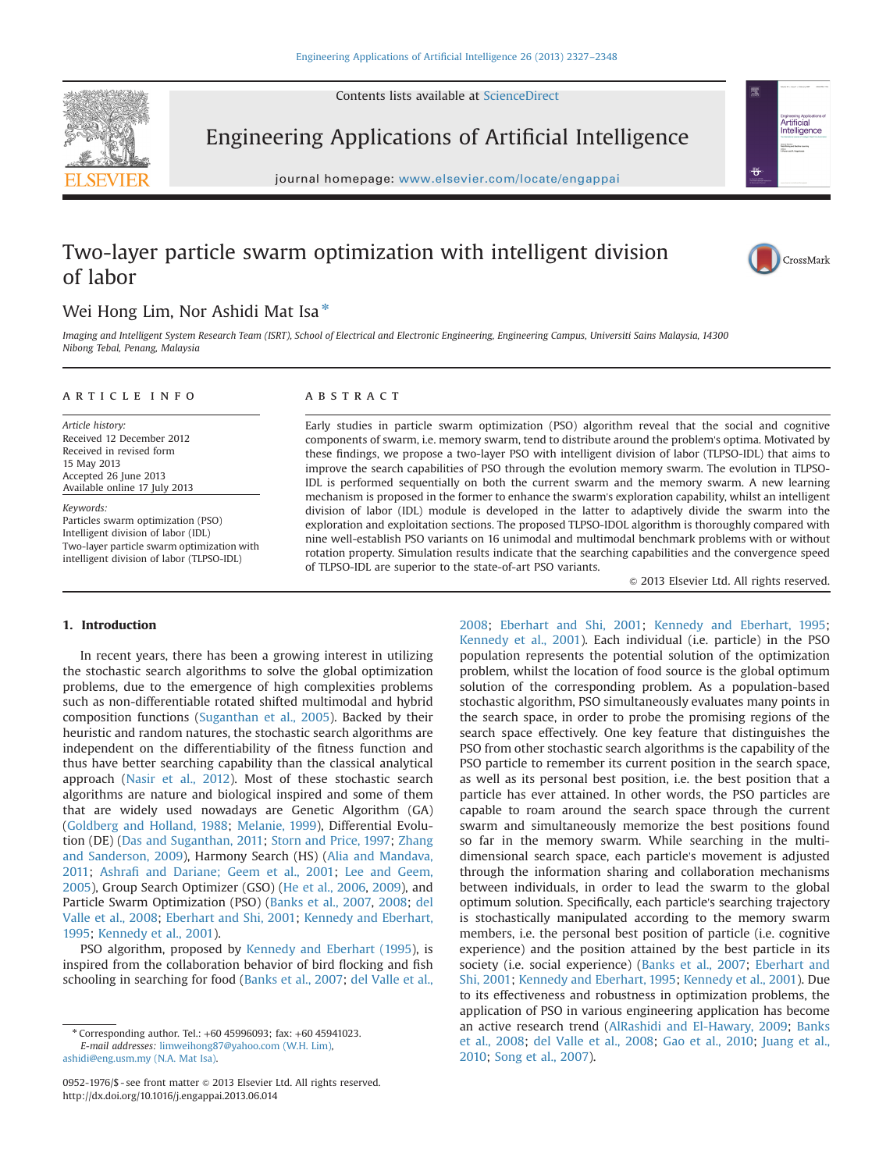Contents lists available at [ScienceDirect](www.sciencedirect.com/science/journal/09521976)



Engineering Applications of Artificial Intelligence

journal homepage: <www.elsevier.com/locate/engappai>

## Two-layer particle swarm optimization with intelligent division of labor



Artificial Intelligence

### Wei Hong Lim, Nor Ashidi Mat Isa\*

Imaging and Intelligent System Research Team (ISRT), School of Electrical and Electronic Engineering, Engineering Campus, Universiti Sains Malaysia, 14300 Nibong Tebal, Penang, Malaysia

#### article info

Article history: Received 12 December 2012 Received in revised form 15 May 2013 Accepted 26 June 2013 Available online 17 July 2013

Keywords:

Particles swarm optimization (PSO) Intelligent division of labor (IDL) Two-layer particle swarm optimization with intelligent division of labor (TLPSO-IDL)

#### **ABSTRACT**

Early studies in particle swarm optimization (PSO) algorithm reveal that the social and cognitive components of swarm, i.e. memory swarm, tend to distribute around the problem's optima. Motivated by these findings, we propose a two-layer PSO with intelligent division of labor (TLPSO-IDL) that aims to improve the search capabilities of PSO through the evolution memory swarm. The evolution in TLPSO-IDL is performed sequentially on both the current swarm and the memory swarm. A new learning mechanism is proposed in the former to enhance the swarm's exploration capability, whilst an intelligent division of labor (IDL) module is developed in the latter to adaptively divide the swarm into the exploration and exploitation sections. The proposed TLPSO-IDOL algorithm is thoroughly compared with nine well-establish PSO variants on 16 unimodal and multimodal benchmark problems with or without rotation property. Simulation results indicate that the searching capabilities and the convergence speed of TLPSO-IDL are superior to the state-of-art PSO variants.

 $©$  2013 Elsevier Ltd. All rights reserved.

#### 1. Introduction

In recent years, there has been a growing interest in utilizing the stochastic search algorithms to solve the global optimization problems, due to the emergence of high complexities problems such as non-differentiable rotated shifted multimodal and hybrid composition functions [\(Suganthan et al., 2005](#page--1-0)). Backed by their heuristic and random natures, the stochastic search algorithms are independent on the differentiability of the fitness function and thus have better searching capability than the classical analytical approach ([Nasir et al., 2012\)](#page--1-0). Most of these stochastic search algorithms are nature and biological inspired and some of them that are widely used nowadays are Genetic Algorithm (GA) ([Goldberg and Holland, 1988](#page--1-0); [Melanie, 1999\)](#page--1-0), Differential Evolution (DE) ([Das and Suganthan, 2011;](#page--1-0) [Storn and Price, 1997;](#page--1-0) [Zhang](#page--1-0) [and Sanderson, 2009\)](#page--1-0), Harmony Search (HS) ([Alia and Mandava,](#page--1-0) [2011](#page--1-0); Ashrafi [and Dariane; Geem et al., 2001;](#page--1-0) [Lee and Geem,](#page--1-0) [2005\)](#page--1-0), Group Search Optimizer (GSO) [\(He et al., 2006,](#page--1-0) [2009\)](#page--1-0), and Particle Swarm Optimization (PSO) [\(Banks et al., 2007,](#page--1-0) [2008;](#page--1-0) [del](#page--1-0) [Valle et al., 2008;](#page--1-0) [Eberhart and Shi, 2001](#page--1-0); [Kennedy and Eberhart,](#page--1-0) [1995](#page--1-0); [Kennedy et al., 2001\)](#page--1-0).

PSO algorithm, proposed by [Kennedy and Eberhart \(1995](#page--1-0)), is inspired from the collaboration behavior of bird flocking and fish schooling in searching for food ([Banks et al., 2007](#page--1-0); [del Valle et al.,](#page--1-0)

[2008;](#page--1-0) [Eberhart and Shi, 2001](#page--1-0); [Kennedy and Eberhart, 1995;](#page--1-0) [Kennedy et al., 2001\)](#page--1-0). Each individual (i.e. particle) in the PSO population represents the potential solution of the optimization problem, whilst the location of food source is the global optimum solution of the corresponding problem. As a population-based stochastic algorithm, PSO simultaneously evaluates many points in the search space, in order to probe the promising regions of the search space effectively. One key feature that distinguishes the PSO from other stochastic search algorithms is the capability of the PSO particle to remember its current position in the search space, as well as its personal best position, i.e. the best position that a particle has ever attained. In other words, the PSO particles are capable to roam around the search space through the current swarm and simultaneously memorize the best positions found so far in the memory swarm. While searching in the multidimensional search space, each particle's movement is adjusted through the information sharing and collaboration mechanisms between individuals, in order to lead the swarm to the global optimum solution. Specifically, each particle's searching trajectory is stochastically manipulated according to the memory swarm members, i.e. the personal best position of particle (i.e. cognitive experience) and the position attained by the best particle in its society (i.e. social experience) ([Banks et al., 2007](#page--1-0); [Eberhart and](#page--1-0) [Shi, 2001](#page--1-0); [Kennedy and Eberhart, 1995](#page--1-0); [Kennedy et al., 2001](#page--1-0)). Due to its effectiveness and robustness in optimization problems, the application of PSO in various engineering application has become an active research trend ([AlRashidi and El-Hawary, 2009;](#page--1-0) [Banks](#page--1-0) [et al., 2008](#page--1-0); [del Valle et al., 2008](#page--1-0); [Gao et al., 2010;](#page--1-0) [Juang et al.,](#page--1-0) [2010;](#page--1-0) [Song et al., 2007](#page--1-0)).

 $*$  Corresponding author. Tel.:  $+60$  45996093; fax:  $+60$  45941023. E-mail addresses: [limweihong87@yahoo.com \(W.H. Lim\),](mailto:limweihong87@yahoo.com) [ashidi@eng.usm.my \(N.A. Mat Isa\)](mailto:ashidi@eng.usm.my).

<sup>0952-1976/\$ -</sup> see front matter @ 2013 Elsevier Ltd. All rights reserved. <http://dx.doi.org/10.1016/j.engappai.2013.06.014>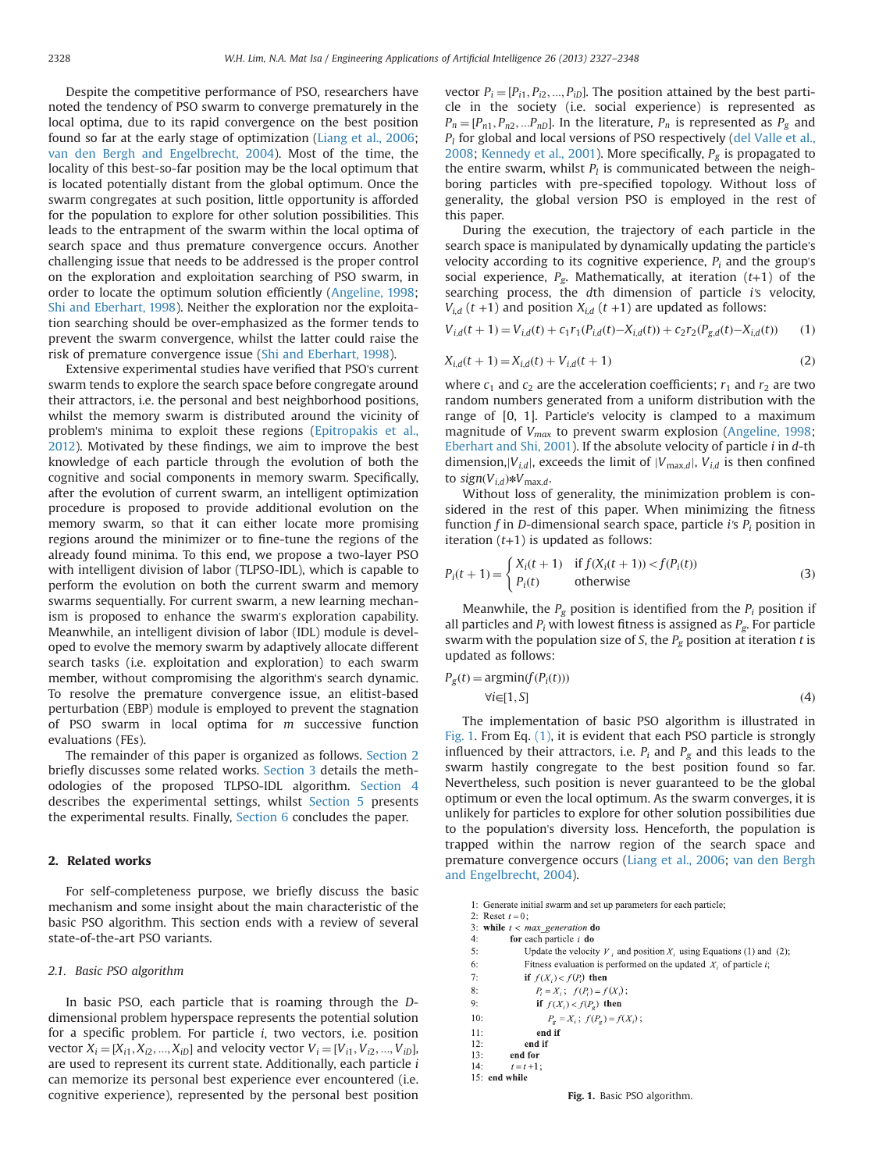Despite the competitive performance of PSO, researchers have noted the tendency of PSO swarm to converge prematurely in the local optima, due to its rapid convergence on the best position found so far at the early stage of optimization [\(Liang et al., 2006;](#page--1-0) [van den Bergh and Engelbrecht, 2004\)](#page--1-0). Most of the time, the locality of this best-so-far position may be the local optimum that is located potentially distant from the global optimum. Once the swarm congregates at such position, little opportunity is afforded for the population to explore for other solution possibilities. This leads to the entrapment of the swarm within the local optima of search space and thus premature convergence occurs. Another challenging issue that needs to be addressed is the proper control on the exploration and exploitation searching of PSO swarm, in order to locate the optimum solution efficiently ([Angeline, 1998;](#page--1-0) [Shi and Eberhart, 1998](#page--1-0)). Neither the exploration nor the exploitation searching should be over-emphasized as the former tends to prevent the swarm convergence, whilst the latter could raise the risk of premature convergence issue [\(Shi and Eberhart, 1998\)](#page--1-0).

Extensive experimental studies have verified that PSO's current swarm tends to explore the search space before congregate around their attractors, i.e. the personal and best neighborhood positions, whilst the memory swarm is distributed around the vicinity of problem's minima to exploit these regions [\(Epitropakis et al.,](#page--1-0) [2012](#page--1-0)). Motivated by these findings, we aim to improve the best knowledge of each particle through the evolution of both the cognitive and social components in memory swarm. Specifically, after the evolution of current swarm, an intelligent optimization procedure is proposed to provide additional evolution on the memory swarm, so that it can either locate more promising regions around the minimizer or to fine-tune the regions of the already found minima. To this end, we propose a two-layer PSO with intelligent division of labor (TLPSO-IDL), which is capable to perform the evolution on both the current swarm and memory swarms sequentially. For current swarm, a new learning mechanism is proposed to enhance the swarm's exploration capability. Meanwhile, an intelligent division of labor (IDL) module is developed to evolve the memory swarm by adaptively allocate different search tasks (i.e. exploitation and exploration) to each swarm member, without compromising the algorithm's search dynamic. To resolve the premature convergence issue, an elitist-based perturbation (EBP) module is employed to prevent the stagnation of PSO swarm in local optima for m successive function evaluations (FEs).

The remainder of this paper is organized as follows. Section 2 briefly discusses some related works. [Section 3](#page--1-0) details the methodologies of the proposed TLPSO-IDL algorithm. [Section 4](#page--1-0) describes the experimental settings, whilst [Section 5](#page--1-0) presents the experimental results. Finally, [Section 6](#page--1-0) concludes the paper.

#### 2. Related works

For self-completeness purpose, we briefly discuss the basic mechanism and some insight about the main characteristic of the basic PSO algorithm. This section ends with a review of several state-of-the-art PSO variants.

#### 2.1. Basic PSO algorithm

In basic PSO, each particle that is roaming through the Ddimensional problem hyperspace represents the potential solution for a specific problem. For particle i, two vectors, i.e. position vector  $X_i = [X_{i1}, X_{i2}, ..., X_{iD}]$  and velocity vector  $V_i = [V_{i1}, V_{i2}, ..., V_{iD}]$ , are used to represent its current state. Additionally, each particle i can memorize its personal best experience ever encountered (i.e. cognitive experience), represented by the personal best position

vector  $P_i = [P_{i1}, P_{i2}, ..., P_{iD}]$ . The position attained by the best particle in the society (i.e. social experience) is represented as  $P_n = [P_{n1}, P_{n2}, ... P_{nD}]$ . In the literature,  $P_n$  is represented as  $P_g$  and  $P_l$  for global and local versions of PSO respectively [\(del Valle et al.,](#page--1-0) [2008;](#page--1-0) [Kennedy et al., 2001](#page--1-0)). More specifically,  $P_g$  is propagated to the entire swarm, whilst  $P_l$  is communicated between the neighboring particles with pre-specified topology. Without loss of generality, the global version PSO is employed in the rest of this paper.

During the execution, the trajectory of each particle in the search space is manipulated by dynamically updating the particle's velocity according to its cognitive experience,  $P_i$  and the group's social experience,  $P_{\varrho}$ . Mathematically, at iteration  $(t+1)$  of the searching process, the dth dimension of particle i's velocity,  $V_{i,d}$  (t +1) and position  $X_{i,d}$  (t +1) are updated as follows:

$$
V_{i,d}(t+1) = V_{i,d}(t) + c_1 r_1 (P_{i,d}(t) - X_{i,d}(t)) + c_2 r_2 (P_{g,d}(t) - X_{i,d}(t))
$$
 (1)

$$
X_{i,d}(t+1) = X_{i,d}(t) + V_{i,d}(t+1)
$$
\n(2)

where  $c_1$  and  $c_2$  are the acceleration coefficients;  $r_1$  and  $r_2$  are two random numbers generated from a uniform distribution with the range of [0, 1]. Particle's velocity is clamped to a maximum magnitude of  $V_{max}$  to prevent swarm explosion [\(Angeline, 1998;](#page--1-0) [Eberhart and Shi, 2001\)](#page--1-0). If the absolute velocity of particle i in d-th dimension, $|V_{i,d}|$ , exceeds the limit of  $|V_{\text{max},d}|$ ,  $V_{i,d}$  is then confined to sign( $V_{i,d}$ )\* $V_{\text{max.}}$ d.

Without loss of generality, the minimization problem is considered in the rest of this paper. When minimizing the fitness function f in D-dimensional search space, particle *i's*  $P_i$  position in iteration  $(t+1)$  is updated as follows:

$$
P_i(t+1) = \begin{cases} X_i(t+1) & \text{if } f(X_i(t+1)) < f(P_i(t)) \\ P_i(t) & \text{otherwise} \end{cases} \tag{3}
$$

Meanwhile, the  $P_g$  position is identified from the  $P_i$  position if all particles and  $P_i$  with lowest fitness is assigned as  $P_g$ . For particle swarm with the population size of S, the  $P_g$  position at iteration t is updated as follows:

$$
P_g(t) = \operatorname{argmin}(f(P_i(t)))
$$
  
\n
$$
\forall i \in [1, S]
$$
 (4)

The implementation of basic PSO algorithm is illustrated in Fig. 1. From Eq. (1), it is evident that each PSO particle is strongly influenced by their attractors, i.e.  $P_i$  and  $P_g$  and this leads to the swarm hastily congregate to the best position found so far. Nevertheless, such position is never guaranteed to be the global optimum or even the local optimum. As the swarm converges, it is unlikely for particles to explore for other solution possibilities due to the population's diversity loss. Henceforth, the population is trapped within the narrow region of the search space and premature convergence occurs [\(Liang et al., 2006](#page--1-0); [van den Bergh](#page--1-0) [and Engelbrecht, 2004\)](#page--1-0).

```
1: Generate initial swarm and set up parameters for each particle;
```

```
2: Reset t=0;
```

```
3: while t < max\_generation do
4<sup>1</sup>for each particle i do
```

```
5:Update the velocity V_i and position X_i using Equations (1) and (2);
```
 $6:$ Fitness evaluation is performed on the updated  $X_i$  of particle i;

 $7:$ if  $f(X_i) < f(P_i)$  then 8:

 $P_i = X_i$ ;  $f(P_i) = f(X_i)$ ;

- $9:$ if  $f(X_i) < f(P_g)$  then
- $10:$  $P_g = X_i$ ;  $f(P_g) = f(X_i)$ ;

```
11:end if
```

```
12.end if
```

```
13:end for
14:
```

```
t = t + 1;
15: end while
```
Fig. 1. Basic PSO algorithm.